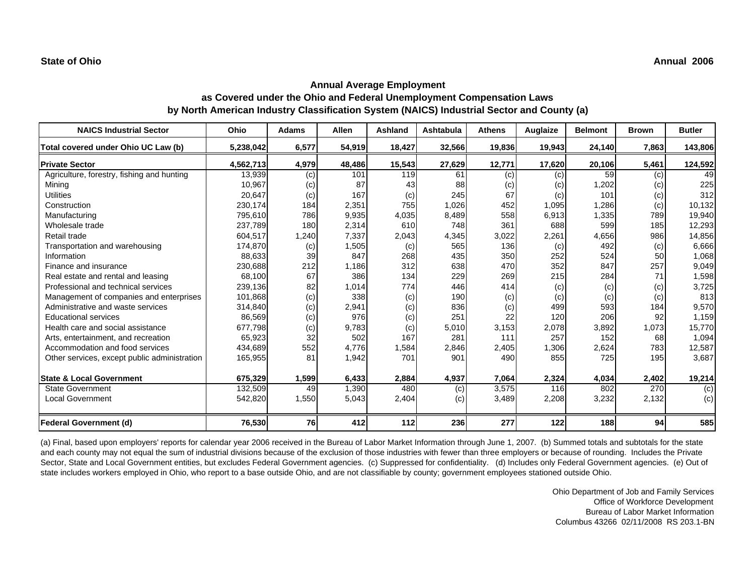| <b>NAICS Industrial Sector</b>               | Ohio      | <b>Adams</b> | <b>Allen</b> | <b>Ashland</b> | Ashtabula | <b>Athens</b> | Auglaize | <b>Belmont</b> | <b>Brown</b> | <b>Butler</b> |
|----------------------------------------------|-----------|--------------|--------------|----------------|-----------|---------------|----------|----------------|--------------|---------------|
| Total covered under Ohio UC Law (b)          | 5,238,042 | 6,577        | 54,919       | 18,427         | 32,566    | 19,836        | 19,943   | 24,140         | 7,863        | 143,806       |
| <b>Private Sector</b>                        | 4,562,713 | 4,979        | 48,486       | 15,543         | 27,629    | 12,771        | 17,620   | 20,106         | 5,461        | 124,592       |
| Agriculture, forestry, fishing and hunting   | 13,939    | (c)          | 101          | 119            | 61        | (c)           | (c)      | 59             | (c)          | 49            |
| Mining                                       | 10,967    | (c)          | 87           | 43             | 88        | (c)           | (c)      | 1,202          | (c)          | 225           |
| <b>Utilities</b>                             | 20,647    | (c)          | 167          | (c)            | 245       | 67            | (c)      | 101            | (c)          | 312           |
| Construction                                 | 230,174   | 184          | 2,351        | <b>755</b>     | 1,026     | 452           | 1,095    | 1,286          | (c)          | 10,132        |
| Manufacturing                                | 795,610   | 786          | 9,935        | 4,035          | 8,489     | 558           | 6,913    | 1,335          | 789          | 19,940        |
| Wholesale trade                              | 237,789   | 180          | 2,314        | 610            | 748       | 361           | 688      | 599            | 185          | 12,293        |
| Retail trade                                 | 604,517   | 1,240        | 7,337        | 2,043          | 4,345     | 3,022         | 2,261    | 4,656          | 986          | 14,856        |
| Transportation and warehousing               | 174,870   | (c)          | 1,505        | (c)            | 565       | 136           | (c)      | 492            | (c)          | 6,666         |
| Information                                  | 88,633    | 39           | 847          | 268            | 435       | 350           | 252      | 524            | 50           | 1,068         |
| Finance and insurance                        | 230,688   | 212          | 1,186        | 312            | 638       | 470           | 352      | 847            | 257          | 9,049         |
| Real estate and rental and leasing           | 68,100    | 67           | 386          | 134            | 229       | 269           | 215      | 284            | 71           | 1,598         |
| Professional and technical services          | 239,136   | 82           | 1,014        | 774            | 446       | 414           | (c)      | (c)            | (c)          | 3,725         |
| Management of companies and enterprises      | 101,868   | (c)          | 338          | (c)            | 190       | (c)           | (c)      | (c)            | (c)          | 813           |
| Administrative and waste services            | 314,840   | (c)          | 2,941        | (c)            | 836       | (c)           | 499      | 593            | 184          | 9,570         |
| <b>Educational services</b>                  | 86,569    | (c)          | 976          | (c)            | 251       | 22            | 120      | 206            | 92           | 1,159         |
| Health care and social assistance            | 677,798   | (c)          | 9,783        | (c)            | 5,010     | 3,153         | 2,078    | 3,892          | 1,073        | 15,770        |
| Arts, entertainment, and recreation          | 65,923    | 32           | 502          | 167            | 281       | 111           | 257      | 152            | 68           | 1,094         |
| Accommodation and food services              | 434,689   | 552          | 4,776        | 1,584          | 2,846     | 2,405         | 1,306    | 2,624          | 783          | 12,587        |
| Other services, except public administration | 165,955   | 81           | 1,942        | 701            | 901       | 490           | 855      | 725            | 195          | 3,687         |
| <b>State &amp; Local Government</b>          | 675,329   | 1,599        | 6,433        | 2,884          | 4,937     | 7,064         | 2,324    | 4,034          | 2,402        | 19,214        |
| <b>State Government</b>                      | 132,509   | 49           | 1,390        | 480            | (c)       | 3,575         | 116      | 802            | 270          | (c)           |
| <b>Local Government</b>                      | 542,820   | 1,550        | 5,043        | 2,404          | (c)       | 3,489         | 2,208    | 3,232          | 2,132        | (c)           |
| <b>Federal Government (d)</b>                | 76,530    | 76I          | 412          | 112            | 236       | 277           | 122      | <b>188</b>     | 94           | 585           |

(a) Final, based upon employers' reports for calendar year 2006 received in the Bureau of Labor Market Information through June 1, 2007. (b) Summed totals and subtotals for the state and each county may not equal the sum of industrial divisions because of the exclusion of those industries with fewer than three employers or because of rounding. Includes the Private Sector, State and Local Government entities, but excludes Federal Government agencies. (c) Suppressed for confidentiality. (d) Includes only Federal Government agencies. (e) Out of state includes workers employed in Ohio, who report to a base outside Ohio, and are not classifiable by county; government employees stationed outside Ohio.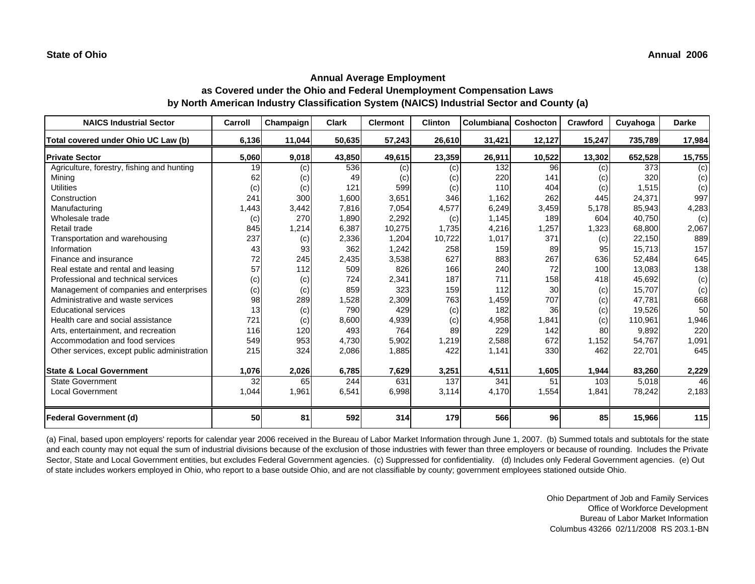| <b>NAICS Industrial Sector</b>               | Carroll | Champaign | <b>Clark</b> | <b>Clermont</b> | <b>Clinton</b> | Columbianal | Coshocton  | Crawford | Cuyahoga | <b>Darke</b> |
|----------------------------------------------|---------|-----------|--------------|-----------------|----------------|-------------|------------|----------|----------|--------------|
| Total covered under Ohio UC Law (b)          | 6,136   | 11,044    | 50,635       | 57,243          | 26,610         | 31,421      | 12,127     | 15,247   | 735,789  | 17,984       |
| <b>Private Sector</b>                        | 5,060   | 9,018     | 43,850       | 49,615          | 23,359         | 26,911      | 10,522     | 13,302   | 652,528  | 15,755       |
| Agriculture, forestry, fishing and hunting   | 19      | (c)       | 536          | (c)             | (c)            | 132         | 96         | (c)      | 373      | (c)          |
| Mining                                       | 62      | (c)       | 49           | (c)             | (c)            | 220         | 141        | (c)      | 320      | (c)          |
| <b>Utilities</b>                             | (c)     | (c)       | 121          | 599             | (c)            | 110         | 404        | (c)      | 1,515    | (c)          |
| Construction                                 | 241     | 300       | 1,600        | 3,651           | 346            | 1,162       | 262        | 445      | 24,371   | 997          |
| Manufacturing                                | 1,443   | 3,442     | 7,816        | 7,054           | 4,577          | 6,249       | 3,459      | 5,178    | 85,943   | 4,283        |
| Wholesale trade                              | (c)     | 270       | 1,890        | 2,292           | (c)            | 1,145       | 189        | 604      | 40,750   | (c)          |
| Retail trade                                 | 845     | 1,214     | 6,387        | 10,275          | 1,735          | 4,216       | 1,257      | 1,323    | 68,800   | 2,067        |
| Transportation and warehousing               | 237     | (c)       | 2,336        | 1,204           | 10,722         | 1,017       | 371        | (c)      | 22,150   | 889          |
| Information                                  | 43      | 93        | 362          | 1,242           | 258            | 159         | 89         | 95       | 15,713   | 157          |
| Finance and insurance                        | 72      | 245       | 2,435        | 3,538           | 627            | 883         | 267        | 636      | 52,484   | 645          |
| Real estate and rental and leasing           | 57      | 112       | 509          | 826             | 166            | 240         | 72         | 100      | 13,083   | 138          |
| Professional and technical services          | (c)     | (c)       | 724          | 2,341           | 187            | 711         | 158        | 418      | 45,692   | (c)          |
| Management of companies and enterprises      | (c)     | (c)       | 859          | 323             | 159            | 112         | 30         | (c)      | 15,707   | (c)          |
| Administrative and waste services            | 98      | 289       | 1,528        | 2,309           | 763            | 1,459       | 707        | (c)      | 47.781   | 668          |
| <b>Educational services</b>                  | 13      | (c)       | 790          | 429             | (c)            | 182         | 36         | (c)      | 19,526   | 50           |
| Health care and social assistance            | 721     | (c)       | 8,600        | 4,939           | (c)            | 4,958       | 1,841      | (c)      | 110,961  | 1,946        |
| Arts, entertainment, and recreation          | 116     | 120       | 493          | 764             | 89             | 229         | 142        | 80       | 9,892    | 220          |
| Accommodation and food services              | 549     | 953       | 4,730        | 5,902           | 1,219          | 2,588       | 672        | 1,152    | 54,767   | 1,091        |
| Other services, except public administration | 215     | 324       | 2,086        | 1,885           | 422            | 1,141       | <b>330</b> | 462      | 22,701   | 645          |
|                                              |         |           |              |                 |                |             |            |          |          |              |
| <b>State &amp; Local Government</b>          | 1,076   | 2,026     | 6,785        | 7,629           | 3,251          | 4,511       | 1,605      | 1,944    | 83,260   | 2,229        |
| <b>State Government</b>                      | 32      | 65        | 244          | 631             | 137            | 341         | 51         | 103      | 5,018    | 46           |
| <b>Local Government</b>                      | 1,044   | 1,961     | 6,541        | 6,998           | 3,114          | 4,170       | 1,554      | 1,841    | 78,242   | 2,183        |
| <b>Federal Government (d)</b>                | 50      | 81        | 592          | 314             | 179            | 566         | 96         | 85       | 15,966   | 115          |

(a) Final, based upon employers' reports for calendar year 2006 received in the Bureau of Labor Market Information through June 1, 2007. (b) Summed totals and subtotals for the state and each county may not equal the sum of industrial divisions because of the exclusion of those industries with fewer than three employers or because of rounding. Includes the Private Sector, State and Local Government entities, but excludes Federal Government agencies. (c) Suppressed for confidentiality. (d) Includes only Federal Government agencies. (e) Out of state includes workers employed in Ohio, who report to a base outside Ohio, and are not classifiable by county; government employees stationed outside Ohio.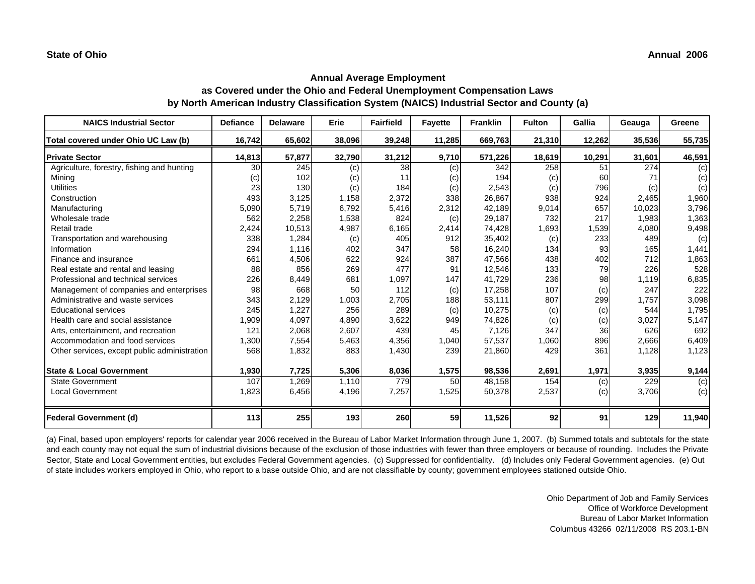| <b>NAICS Industrial Sector</b>               | <b>Defiance</b> | <b>Delaware</b> | Erie   | <b>Fairfield</b> | <b>Fayette</b> | <b>Franklin</b> | <b>Fulton</b> | Gallia | Geauga | Greene |
|----------------------------------------------|-----------------|-----------------|--------|------------------|----------------|-----------------|---------------|--------|--------|--------|
| Total covered under Ohio UC Law (b)          | 16,742          | 65,602          | 38,096 | 39,248           | 11,285         | 669,763         | 21,310        | 12,262 | 35,536 | 55,735 |
| <b>Private Sector</b>                        | 14,813          | 57,877          | 32,790 | 31,212           | 9,710          | 571,226         | 18,619        | 10,291 | 31,601 | 46,591 |
| Agriculture, forestry, fishing and hunting   | 30              | 245             | (c)    | 38               | (c)            | 342             | 258           | 51     | 274    | (c)    |
| Minina                                       | (c)             | 102             | (c)    | 11               | (c)            | 194             | (c)           | 60     | 71     | (c)    |
| <b>Utilities</b>                             | 23              | 130             | (c)    | 184              | (c)            | 2,543           | (c)           | 796    | (c)    | (c)    |
| Construction                                 | 493             | 3,125           | 1,158  | 2,372            | 338            | 26,867          | 938           | 924    | 2,465  | 1,960  |
| Manufacturing                                | 5,090           | 5,719           | 6,792  | 5,416            | 2,312          | 42,189          | 9,014         | 657    | 10,023 | 3,796  |
| Wholesale trade                              | 562             | 2,258           | 1,538  | 824              | (c)            | 29,187          | 732           | 217    | 1,983  | 1,363  |
| Retail trade                                 | 2,424           | 10,513          | 4,987  | 6,165            | 2,414          | 74,428          | 1,693         | 1,539  | 4,080  | 9,498  |
| Transportation and warehousing               | 338             | 1,284           | (c)    | 405              | 912            | 35,402          | (c)           | 233    | 489    | (c)    |
| Information                                  | 294             | 1,116           | 402    | 347              | 58             | 16,240          | 134           | 93     | 165    | 1,441  |
| Finance and insurance                        | 661             | 4,506           | 622    | 924              | 387            | 47,566          | 438           | 402    | 712    | 1,863  |
| Real estate and rental and leasing           | 88              | 856             | 269    | 477              | 91             | 12,546          | 133           | 79     | 226    | 528    |
| Professional and technical services          | 226             | 8,449           | 681    | 1,097            | 147            | 41,729          | 236           | 98     | 1,119  | 6,835  |
| Management of companies and enterprises      | 98              | 668             | 50     | 112              | (c)            | 17,258          | 107           | (c)    | 247    | 222    |
| Administrative and waste services            | 343             | 2,129           | 1,003  | 2,705            | 188            | 53,111          | 807           | 299    | 1,757  | 3,098  |
| <b>Educational services</b>                  | 245             | 1,227           | 256    | 289              | (c)            | 10,275          | (c)           | (c)    | 544    | 1,795  |
| Health care and social assistance            | 1,909           | 4,097           | 4,890  | 3,622            | 949            | 74,826          | (c)           | (c)    | 3,027  | 5,147  |
| Arts, entertainment, and recreation          | 121             | 2,068           | 2,607  | 439              | 45             | 7,126           | 347           | 36     | 626    | 692    |
| Accommodation and food services              | 1,300           | 7,554           | 5,463  | 4,356            | 1,040          | 57,537          | 1,060         | 896    | 2,666  | 6,409  |
| Other services, except public administration | 568             | 1,832           | 883    | 1,430            | 239            | 21,860          | 429           | 361    | 1,128  | 1,123  |
| <b>State &amp; Local Government</b>          | 1,930           | 7,725           | 5,306  | 8,036            | 1,575          | 98,536          | 2,691         | 1,971  | 3,935  | 9,144  |
| <b>State Government</b>                      | 107             | 1,269           | 1,110  | 779              | 50             | 48,158          | 154           | (c)    | 229    | (c)    |
| <b>Local Government</b>                      | 1,823           | 6,456           | 4,196  | 7,257            | 1,525          | 50,378          | 2,537         | (c)    | 3,706  | (c)    |
| <b>Federal Government (d)</b>                | 113             | 255             | 193    | 260              | 59             | 11,526          | 92            | 91     | 129    | 11,940 |

(a) Final, based upon employers' reports for calendar year 2006 received in the Bureau of Labor Market Information through June 1, 2007. (b) Summed totals and subtotals for the state and each county may not equal the sum of industrial divisions because of the exclusion of those industries with fewer than three employers or because of rounding. Includes the Private Sector, State and Local Government entities, but excludes Federal Government agencies. (c) Suppressed for confidentiality. (d) Includes only Federal Government agencies. (e) Out of state includes workers employed in Ohio, who report to a base outside Ohio, and are not classifiable by county; government employees stationed outside Ohio.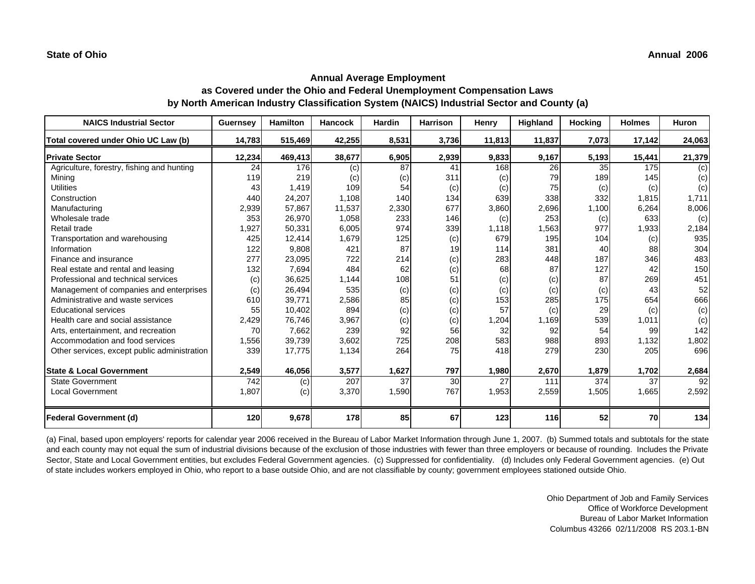| <b>NAICS Industrial Sector</b>               | <b>Guernsey</b> | <b>Hamilton</b> | <b>Hancock</b> | <b>Hardin</b> | <b>Harrison</b> | Henry  | Highland | Hocking | <b>Holmes</b> | <b>Huron</b> |
|----------------------------------------------|-----------------|-----------------|----------------|---------------|-----------------|--------|----------|---------|---------------|--------------|
| Total covered under Ohio UC Law (b)          | 14,783          | 515,469         | 42,255         | 8,531         | 3,736           | 11,813 | 11,837   | 7,073   | 17,142        | 24,063       |
| <b>Private Sector</b>                        | 12,234          | 469,413         | 38,677         | 6,905         | 2,939           | 9,833  | 9,167    | 5,193   | 15,441        | 21,379       |
| Agriculture, forestry, fishing and hunting   | 24              | 176             | (c)            | 87            | 41              | 168    | 26       | 35      | 175           | (c)          |
| Mining                                       | 119             | 219             | (c)            | (c)           | 311             | (c)    | 79       | 189     | 145           | (c)          |
| <b>Utilities</b>                             | 43              | 1,419           | 109            | 54            | (c)             | (c)    | 75       | (c)     | (c)           | (c)          |
| Construction                                 | 440             | 24,207          | 1,108          | 140           | 134             | 639    | 338      | 332     | 1,815         | 1,711        |
| Manufacturing                                | 2,939           | 57,867          | 11,537         | 2,330         | 677             | 3,860  | 2,696    | 1,100   | 6,264         | 8,006        |
| Wholesale trade                              | 353             | 26,970          | 1,058          | 233           | 146             | (c)    | 253      | (c)     | 633           | (c)          |
| Retail trade                                 | 1,927           | 50,331          | 6,005          | 974           | 339             | 1,118  | 1,563    | 977     | 1,933         | 2,184        |
| Transportation and warehousing               | 425             | 12,414          | 1,679          | 125           | (c)             | 679    | 195      | 104     | (c)           | 935          |
| Information                                  | 122             | 9,808           | 421            | 87            | 19              | 114    | 381      | 40      | 88            | 304          |
| Finance and insurance                        | 277             | 23,095          | 722            | 214           | (c)             | 283    | 448      | 187     | 346           | 483          |
| Real estate and rental and leasing           | 132             | 7,694           | 484            | 62            | (c)             | 68     | 87       | 127     | 42            | 150          |
| Professional and technical services          | (c)             | 36,625          | 1,144          | 108           | 51              | (c)    | (c)      | 87      | 269           | 451          |
| Management of companies and enterprises      | (c)             | 26,494          | 535            | (c)           | (c)             | (c)    | (c)      | (c)     | 43            | 52           |
| Administrative and waste services            | 610             | 39,771          | 2,586          | 85            | (c)             | 153    | 285      | 175     | 654           | 666          |
| <b>Educational services</b>                  | 55              | 10,402          | 894            | (c)           | (c)             | 57     | (c)      | 29      | (c)           | (c)          |
| Health care and social assistance            | 2,429           | 76,746          | 3,967          | (c)           | (c)             | 1,204  | 1,169    | 539     | 1,011         | (c)          |
| Arts, entertainment, and recreation          | 70              | 7,662           | 239            | 92            | 56              | 32     | 92       | 54      | 99            | 142          |
| Accommodation and food services              | 1,556           | 39,739          | 3,602          | 725           | 208             | 583    | 988      | 893     | 1,132         | 1,802        |
| Other services, except public administration | 339             | 17,775          | 1,134          | 264           | 75              | 418    | 279      | 230     | 205           | 696          |
| <b>State &amp; Local Government</b>          | 2,549           | 46,056          | 3,577          | 1,627         | 797             | 1,980  | 2,670    | 1,879   | 1,702         | 2,684        |
| <b>State Government</b>                      | 742             | (c)             | 207            | 37            | 30              | 27     | 111      | 374     | 37            | 92           |
| <b>Local Government</b>                      | 1,807           | (c)             | 3,370          | 1,590         | 767             | 1,953  | 2,559    | 1,505   | 1,665         | 2,592        |
| <b>Federal Government (d)</b>                | 120             | 9,678           | 178            | 85            | 67              | 123    | 116      | 52      | 70            | 134          |

(a) Final, based upon employers' reports for calendar year 2006 received in the Bureau of Labor Market Information through June 1, 2007. (b) Summed totals and subtotals for the state and each county may not equal the sum of industrial divisions because of the exclusion of those industries with fewer than three employers or because of rounding. Includes the Private Sector, State and Local Government entities, but excludes Federal Government agencies. (c) Suppressed for confidentiality. (d) Includes only Federal Government agencies. (e) Out of state includes workers employed in Ohio, who report to a base outside Ohio, and are not classifiable by county; government employees stationed outside Ohio.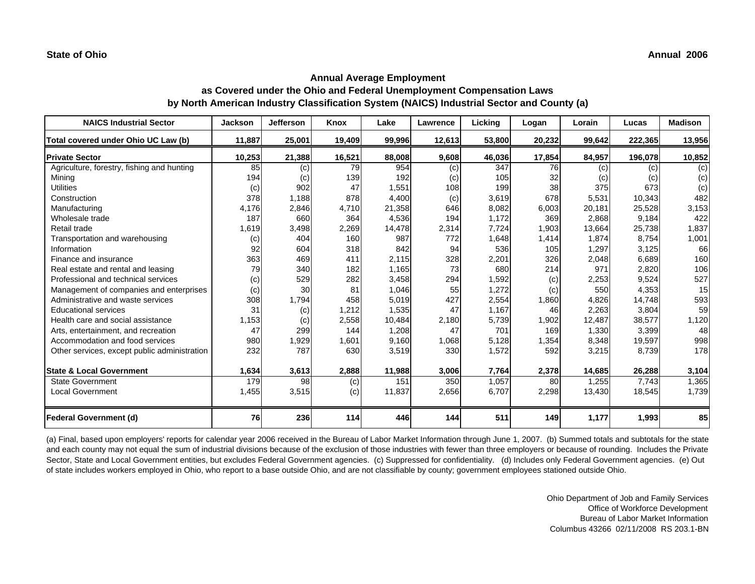| <b>NAICS Industrial Sector</b>               | <b>Jackson</b> | <b>Jefferson</b> | Knox   | Lake   | Lawrence | Licking | Logan  | Lorain | Lucas   | <b>Madison</b> |
|----------------------------------------------|----------------|------------------|--------|--------|----------|---------|--------|--------|---------|----------------|
| Total covered under Ohio UC Law (b)          | 11,887         | 25,001           | 19,409 | 99,996 | 12,613   | 53,800  | 20,232 | 99,642 | 222,365 | 13,956         |
| <b>Private Sector</b>                        | 10,253         | 21,388           | 16,521 | 88,008 | 9,608    | 46,036  | 17,854 | 84,957 | 196,078 | 10,852         |
| Agriculture, forestry, fishing and hunting   | 85             | (c)              | 79     | 954    | (c)      | 347     | 76     | (c)    | (c)     | (c)            |
| Minina                                       | 194            | (c)              | 139    | 192    | (c)      | 105     | 32     | (c)    | (c)     | (c)            |
| <b>Utilities</b>                             | (c)            | 902              | 47     | 1,551  | 108      | 199     | 38     | 375    | 673     | (c)            |
| Construction                                 | 378            | 1,188            | 878    | 4,400  | (c)      | 3,619   | 678    | 5,531  | 10,343  | 482            |
| Manufacturing                                | 4,176          | 2,846            | 4,710  | 21,358 | 646      | 8,082   | 6,003  | 20,181 | 25,528  | 3,153          |
| Wholesale trade                              | 187            | 660              | 364    | 4,536  | 194      | 1,172   | 369    | 2,868  | 9,184   | 422            |
| Retail trade                                 | 1,619          | 3,498            | 2,269  | 14,478 | 2,314    | 7,724   | 1,903  | 13,664 | 25,738  | 1,837          |
| Transportation and warehousing               | (c)            | 404              | 160    | 987    | 772      | 1,648   | 1,414  | 1,874  | 8,754   | 1,001          |
| Information                                  | 92             | 604              | 318    | 842    | 94       | 536     | 105    | 1,297  | 3,125   | 66             |
| Finance and insurance                        | 363            | 469              | 411    | 2,115  | 328      | 2,201   | 326    | 2,048  | 6,689   | 160            |
| Real estate and rental and leasing           | 79             | 340              | 182    | 1,165  | 73       | 680     | 214    | 971    | 2,820   | 106            |
| Professional and technical services          | (c)            | 529              | 282    | 3,458  | 294      | 1,592   | (c)    | 2,253  | 9,524   | 527            |
| Management of companies and enterprises      | (c)            | 30               | 81     | 1,046  | 55       | 1,272   | (c)    | 550    | 4,353   | 15             |
| Administrative and waste services            | 308            | 1,794            | 458    | 5,019  | 427      | 2,554   | 1,860  | 4,826  | 14,748  | 593            |
| <b>Educational services</b>                  | 31             | (c)              | 1,212  | 1,535  | 47       | 1,167   | 46     | 2,263  | 3,804   | 59             |
| Health care and social assistance            | 1,153          | (c)              | 2,558  | 10,484 | 2,180    | 5,739   | 1,902  | 12,487 | 38,577  | 1,120          |
| Arts, entertainment, and recreation          | 47             | 299              | 144    | 1,208  | 47       | 701     | 169    | 1,330  | 3,399   | 48             |
| Accommodation and food services              | 980            | 1,929            | 1,601  | 9,160  | 1,068    | 5,128   | 1,354  | 8,348  | 19,597  | 998            |
| Other services, except public administration | 232            | 787              | 630    | 3,519  | 330      | 1,572   | 592    | 3,215  | 8,739   | 178            |
| <b>State &amp; Local Government</b>          | 1,634          | 3,613            | 2,888  | 11,988 | 3,006    | 7,764   | 2,378  | 14,685 | 26,288  | 3,104          |
| <b>State Government</b>                      | 179            | 98               | (c)    | 151    | 350      | 1,057   | 80     | 1,255  | 7,743   | 1,365          |
| <b>Local Government</b>                      | 1,455          | 3,515            | (c)    | 11,837 | 2,656    | 6,707   | 2,298  | 13,430 | 18,545  | 1,739          |
| <b>Federal Government (d)</b>                | 76             | 236              | 114    | 446    | 144      | 511     | 149    | 1,177  | 1,993   | 85             |

(a) Final, based upon employers' reports for calendar year 2006 received in the Bureau of Labor Market Information through June 1, 2007. (b) Summed totals and subtotals for the state and each county may not equal the sum of industrial divisions because of the exclusion of those industries with fewer than three employers or because of rounding. Includes the Private Sector, State and Local Government entities, but excludes Federal Government agencies. (c) Suppressed for confidentiality. (d) Includes only Federal Government agencies. (e) Out of state includes workers employed in Ohio, who report to a base outside Ohio, and are not classifiable by county; government employees stationed outside Ohio.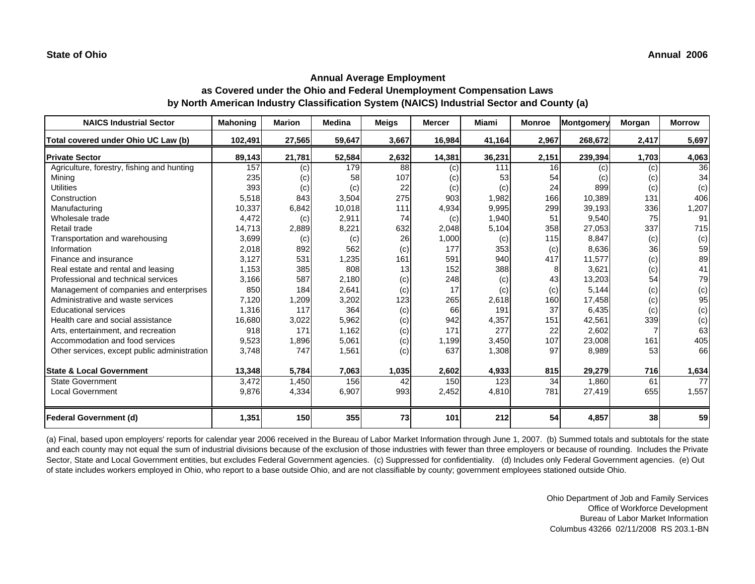| <b>NAICS Industrial Sector</b>               | <b>Mahoning</b> | <b>Marion</b> | <b>Medina</b> | <b>Meigs</b> | <b>Mercer</b> | <b>Miami</b> | <b>Monroe</b> | Montgomery | Morgan | <b>Morrow</b> |
|----------------------------------------------|-----------------|---------------|---------------|--------------|---------------|--------------|---------------|------------|--------|---------------|
| Total covered under Ohio UC Law (b)          | 102,491         | 27,565        | 59,647        | 3,667        | 16,984        | 41,164       | 2,967         | 268,672    | 2,417  | 5,697         |
| <b>Private Sector</b>                        | 89,143          | 21,781        | 52,584        | 2,632        | 14,381        | 36,231       | 2,151         | 239,394    | 1,703  | 4,063         |
| Agriculture, forestry, fishing and hunting   | 157             | (c)           | 179           | 88           | (c)           | 111          | 16            | (c)        | (c)    | 36            |
| Mining                                       | 235             | (c)           | 58            | 107          | (c)           | 53           | 54            | (c)        | (c)    | 34            |
| <b>Utilities</b>                             | 393             | (c)           | (c)           | 22           | (c)           | (c)          | 24            | 899        | (c)    | (c)           |
| Construction                                 | 5,518           | 843           | 3,504         | 275          | 903           | 1,982        | 166           | 10,389     | 131    | 406           |
| Manufacturing                                | 10,337          | 6,842         | 10,018        | 111          | 4,934         | 9,995        | 299           | 39,193     | 336    | 1,207         |
| Wholesale trade                              | 4,472           | (c)           | 2,911         | 74           | (c)           | 1,940        | 51            | 9,540      | 75     | 91            |
| Retail trade                                 | 14,713          | 2,889         | 8,221         | 632          | 2,048         | 5,104        | 358           | 27,053     | 337    | 715           |
| Transportation and warehousing               | 3,699           | (c)           | (c)           | 26           | 1,000         | (c)          | 115           | 8,847      | (c)    | (c)           |
| Information                                  | 2,018           | 892           | 562           | (c)          | 177           | 353          | (c)           | 8,636      | 36     | 59            |
| Finance and insurance                        | 3,127           | 531           | 1,235         | 161          | 591           | 940          | 417           | 11,577     | (c)    | 89            |
| Real estate and rental and leasing           | 1,153           | 385           | 808           | 13           | 152           | 388          |               | 3,621      | (c)    | 41            |
| Professional and technical services          | 3,166           | 587           | 2,180         | (c)          | 248           | (c)          | 43            | 13,203     | 54     | 79            |
| Management of companies and enterprises      | 850             | 184           | 2,641         | (c)          | 17            | (c)          | (c)           | 5.144      | (c)    | (c)           |
| Administrative and waste services            | 7,120           | 1,209         | 3,202         | 123          | 265           | 2,618        | 160           | 17,458     | (c)    | 95            |
| <b>Educational services</b>                  | 1,316           | 117           | 364           | (c)          | 66            | 191          | 37            | 6,435      | (c)    | (c)           |
| Health care and social assistance            | 16,680          | 3,022         | 5,962         | (c)          | 942           | 4,357        | 151           | 42,561     | 339    | (c)           |
| Arts, entertainment, and recreation          | 918             | 171           | 1,162         | (c)          | 171           | 277          | 22            | 2,602      |        | 63            |
| Accommodation and food services              | 9,523           | 1,896         | 5,061         | (c)          | 1,199         | 3,450        | 107           | 23,008     | 161    | 405           |
| Other services, except public administration | 3,748           | 747           | 1,561         | (c)          | 637           | 1,308        | 97            | 8,989      | 53     | 66            |
| <b>State &amp; Local Government</b>          | 13,348          | 5,784         | 7,063         | 1,035        | 2,602         | 4,933        | 815           | 29,279     | 716    | 1,634         |
| <b>State Government</b>                      | 3,472           | 1,450         | 156           | 42           | 150           | 123          | 34            | 1,860      | 61     | 77            |
| <b>Local Government</b>                      | 9,876           | 4,334         | 6,907         | 993          | 2,452         | 4,810        | 781           | 27,419     | 655    | 1,557         |
| <b>Federal Government (d)</b>                | 1,351           | 150           | 355           | 73           | 101           | 212          | 54            | 4,857      | 38     | 59            |

(a) Final, based upon employers' reports for calendar year 2006 received in the Bureau of Labor Market Information through June 1, 2007. (b) Summed totals and subtotals for the state and each county may not equal the sum of industrial divisions because of the exclusion of those industries with fewer than three employers or because of rounding. Includes the Private Sector, State and Local Government entities, but excludes Federal Government agencies. (c) Suppressed for confidentiality. (d) Includes only Federal Government agencies. (e) Out of state includes workers employed in Ohio, who report to a base outside Ohio, and are not classifiable by county; government employees stationed outside Ohio.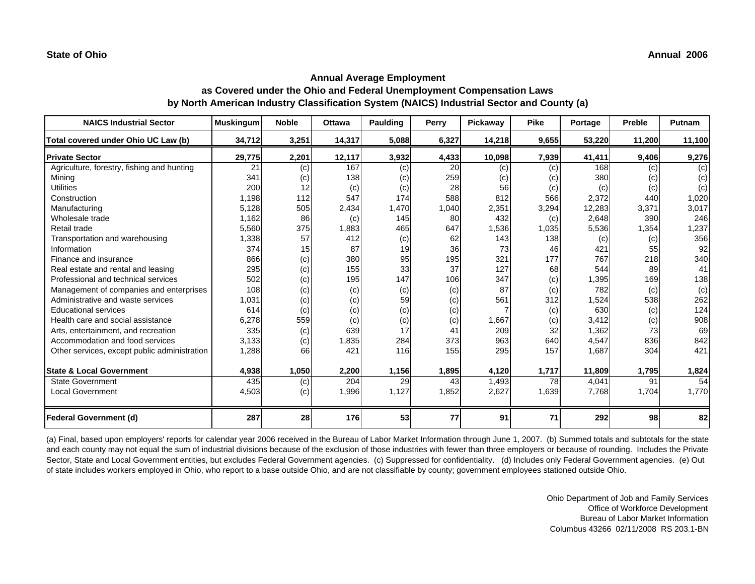| <b>NAICS Industrial Sector</b>               | <b>Muskingum</b> | <b>Noble</b> | <b>Ottawa</b> | Paulding | Perry | Pickaway | <b>Pike</b> | Portage | Preble | Putnam |
|----------------------------------------------|------------------|--------------|---------------|----------|-------|----------|-------------|---------|--------|--------|
| Total covered under Ohio UC Law (b)          | 34,712           | 3,251        | 14,317        | 5,088    | 6,327 | 14,218   | 9,655       | 53,220  | 11,200 | 11,100 |
| <b>Private Sector</b>                        | 29,775           | 2,201        | 12,117        | 3,932    | 4,433 | 10,098   | 7,939       | 41,411  | 9,406  | 9,276  |
| Agriculture, forestry, fishing and hunting   | 21               | (c)          | 167           | (c)      | 20    | (c)      | (c)         | 168     | (c)    | (c)    |
| Minina                                       | 341              | (c)          | 138           | (c)      | 259   | (C)      | (c)         | 380     | (c)    | (c)    |
| <b>Utilities</b>                             | 200              | 12           | (c)           | (c)      | 28    | 56       | (c)         | (c)     | (c)    | (c)    |
| Construction                                 | 1,198            | 112          | 547           | 174      | 588   | 812      | 566         | 2,372   | 440    | 1,020  |
| Manufacturing                                | 5,128            | 505          | 2,434         | 1,470    | 1,040 | 2,351    | 3,294       | 12,283  | 3,371  | 3,017  |
| Wholesale trade                              | 1,162            | 86           | (c)           | 145      | 80    | 432      | (c)         | 2,648   | 390    | 246    |
| Retail trade                                 | 5,560            | 375          | 1,883         | 465      | 647   | 1,536    | 1,035       | 5,536   | 1,354  | 1,237  |
| Transportation and warehousing               | 1,338            | 57           | 412           | (c)      | 62    | 143      | 138         | (c)     | (c)    | 356    |
| Information                                  | 374              | 15           | 87            | 19       | 36    | 73       | 46          | 421     | 55     | 92     |
| Finance and insurance                        | 866              | (c)          | 380           | 95       | 195   | 321      | 177         | 767     | 218    | 340    |
| Real estate and rental and leasing           | 295              | (c)          | 155           | 33       | 37    | 127      | 68          | 544     | 89     | 41     |
| Professional and technical services          | 502              | (c)          | 195           | 147      | 106   | 347      | (c)         | 1,395   | 169    | 138    |
| Management of companies and enterprises      | 108              | (c)          | (c)           | (c)      | (c)   | 87       | (c)         | 782     | (c)    | (c)    |
| Administrative and waste services            | 1,031            | (c)          | (c)           | 59       | (c)   | 561      | 312         | 1,524   | 538    | 262    |
| <b>Educational services</b>                  | 614              | (c)          | (c)           | (c)      | (c)   |          | (c)         | 630     | (c)    | 124    |
| Health care and social assistance            | 6,278            | 559          | (c)           | (c)      | (c)   | 1,667    | (c)         | 3,412   | (c)    | 908    |
| Arts, entertainment, and recreation          | 335              | (c)          | 639           | 17       | 41    | 209      | 32          | 1,362   | 73     | 69     |
| Accommodation and food services              | 3,133            | (c)          | 1,835         | 284      | 373   | 963      | 640         | 4,547   | 836    | 842    |
| Other services, except public administration | 1,288            | 66           | 421           | 116      | 155   | 295      | 157         | 1,687   | 304    | 421    |
| <b>State &amp; Local Government</b>          | 4,938            | 1,050        | 2,200         | 1,156    | 1,895 | 4,120    | 1,717       | 11,809  | 1,795  | 1,824  |
| <b>State Government</b>                      | 435              | (c)          | 204           | 29       | 43    | 1,493    | 78          | 4,041   | 91     | 54     |
| <b>Local Government</b>                      | 4,503            | (c)          | 1,996         | 1,127    | 1,852 | 2,627    | 1,639       | 7,768   | 1,704  | 1,770  |
| <b>Federal Government (d)</b>                | 287              | 28           | 176           | 53       | 77    | 91       | 71          | 292     | 98     | 82     |

(a) Final, based upon employers' reports for calendar year 2006 received in the Bureau of Labor Market Information through June 1, 2007. (b) Summed totals and subtotals for the state and each county may not equal the sum of industrial divisions because of the exclusion of those industries with fewer than three employers or because of rounding. Includes the Private Sector, State and Local Government entities, but excludes Federal Government agencies. (c) Suppressed for confidentiality. (d) Includes only Federal Government agencies. (e) Out of state includes workers employed in Ohio, who report to a base outside Ohio, and are not classifiable by county; government employees stationed outside Ohio.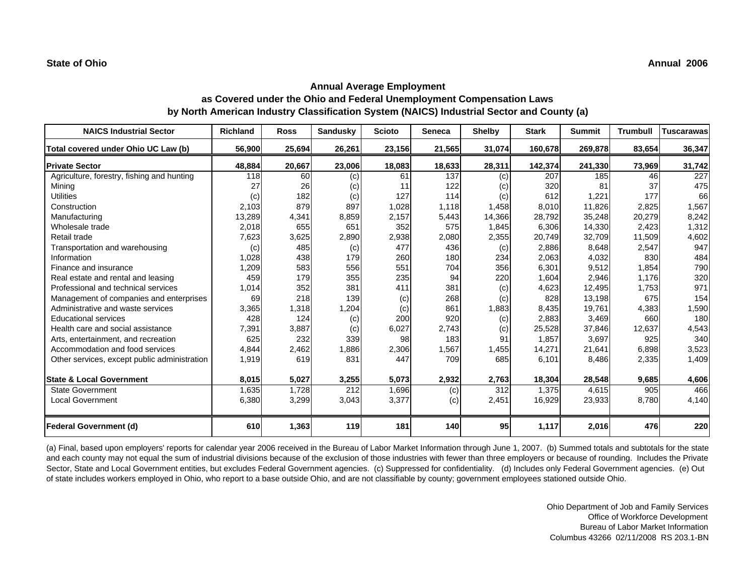| <b>NAICS Industrial Sector</b>               | <b>Richland</b> | <b>Ross</b> | Sandusky | <b>Scioto</b> | <b>Seneca</b> | <b>Shelby</b> | <b>Stark</b> | <b>Summit</b> | <b>Trumbull</b> | <b>Tuscarawas</b> |
|----------------------------------------------|-----------------|-------------|----------|---------------|---------------|---------------|--------------|---------------|-----------------|-------------------|
| Total covered under Ohio UC Law (b)          | 56,900          | 25,694      | 26,261   | 23,156        | 21,565        | 31,074        | 160,678      | 269,878       | 83,654          | 36,347            |
| <b>Private Sector</b>                        | 48,884          | 20,667      | 23,006   | 18,083        | 18,633        | 28,311        | 142,374      | 241,330       | 73,969          | 31,742            |
| Agriculture, forestry, fishing and hunting   | 118             | 60          | (c)      | 61            | 137           | (c)           | 207          | 185           | 46              | 227               |
| Mining                                       | 27              | 26          | (c)      | 11            | 122           | (c)           | 320          | 81            | 37              | 475               |
| <b>Utilities</b>                             | (c)             | 182         | (c)      | 127           | 114           | (c)           | 612          | 1,221         | 177             | 66                |
| Construction                                 | 2,103           | 879         | 897      | 1,028         | 1,118         | 1,458         | 8,010        | 11,826        | 2,825           | 1,567             |
| Manufacturing                                | 13,289          | 4,341       | 8,859    | 2,157         | 5,443         | 14,366        | 28,792       | 35,248        | 20,279          | 8,242             |
| Wholesale trade                              | 2,018           | 655         | 651      | 352           | 575           | 1,845         | 6,306        | 14,330        | 2,423           | 1,312             |
| Retail trade                                 | 7,623           | 3,625       | 2,890    | 2,938         | 2,080         | 2,355         | 20,749       | 32,709        | 11,509          | 4,602             |
| Transportation and warehousing               | (c)             | 485         | (c)      | 477           | 436           | (c)           | 2,886        | 8,648         | 2,547           | 947               |
| Information                                  | 1,028           | 438         | 179      | 260           | 180           | 234           | 2,063        | 4,032         | 830             | 484               |
| Finance and insurance                        | 1,209           | 583         | 556      | 551           | 704           | 356           | 6,301        | 9,512         | 1,854           | 790               |
| Real estate and rental and leasing           | 459             | 179         | 355      | 235           | 94            | 220           | 1,604        | 2,946         | 1,176           | 320               |
| Professional and technical services          | 1,014           | 352         | 381      | 411           | 381           | (c)           | 4,623        | 12,495        | 1,753           | 971               |
| Management of companies and enterprises      | 69              | 218         | 139      | (c)           | 268           | (c)           | 828          | 13,198        | 675             | 154               |
| Administrative and waste services            | 3,365           | 1,318       | 1,204    | (c)           | 861           | 1,883         | 8,435        | 19,761        | 4,383           | 1,590             |
| <b>Educational services</b>                  | 428             | 124         | (c)      | 200           | 920           | (c)           | 2,883        | 3,469         | 660             | 180               |
| Health care and social assistance            | 7,391           | 3,887       | (c)      | 6,027         | 2,743         | (c)           | 25,528       | 37,846        | 12,637          | 4,543             |
| Arts, entertainment, and recreation          | 625             | 232         | 339      | 98            | 183           | 91            | 1.857        | 3,697         | 925             | 340               |
| Accommodation and food services              | 4,844           | 2,462       | 1,886    | 2,306         | 1,567         | 1,455         | 14,271       | 21,641        | 6,898           | 3,523             |
| Other services, except public administration | 1,919           | 619         | 831      | 447           | 709           | 685           | 6,101        | 8,486         | 2,335           | 1,409             |
| <b>State &amp; Local Government</b>          | 8,015           | 5,027       | 3,255    | 5,073         | 2,932         | 2,763         | 18,304       | 28,548        | 9,685           | 4,606             |
| <b>State Government</b>                      | 1,635           | 1,728       | 212      | 1,696         | (c)           | 312           | 1,375        | 4,615         | 905             | 466               |
| <b>Local Government</b>                      | 6,380           | 3,299       | 3,043    | 3,377         | (c)           | 2,451         | 16,929       | 23,933        | 8,780           | 4,140             |
| <b>Federal Government (d)</b>                | 610             | 1,363       | 119      | 181           | <b>140</b>    | 95            | 1,117        | 2,016         | 476             | 220               |

(a) Final, based upon employers' reports for calendar year 2006 received in the Bureau of Labor Market Information through June 1, 2007. (b) Summed totals and subtotals for the state and each county may not equal the sum of industrial divisions because of the exclusion of those industries with fewer than three employers or because of rounding. Includes the Private Sector, State and Local Government entities, but excludes Federal Government agencies. (c) Suppressed for confidentiality. (d) Includes only Federal Government agencies. (e) Out of state includes workers employed in Ohio, who report to a base outside Ohio, and are not classifiable by county; government employees stationed outside Ohio.